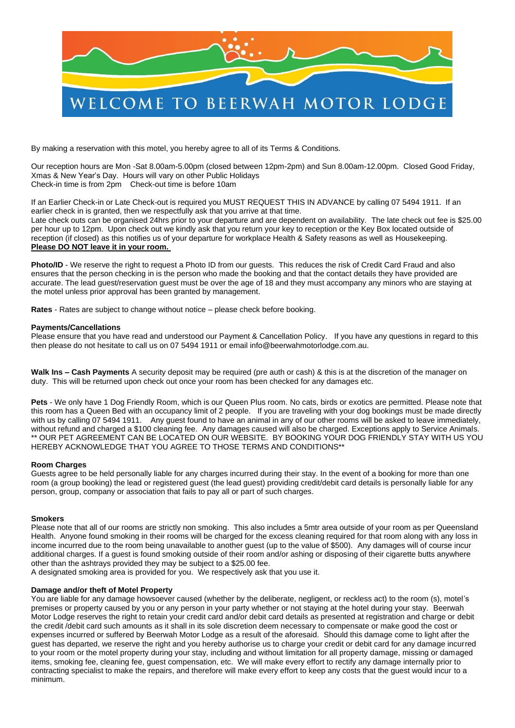

By making a reservation with this motel, you hereby agree to all of its Terms & Conditions.

Our reception hours are Mon -Sat 8.00am-5.00pm (closed between 12pm-2pm) and Sun 8.00am-12.00pm. Closed Good Friday, Xmas & New Year's Day. Hours will vary on other Public Holidays Check-in time is from 2pm Check-out time is before 10am

If an Earlier Check-in or Late Check-out is required you MUST REQUEST THIS IN ADVANCE by calling 07 5494 1911. If an earlier check in is granted, then we respectfully ask that you arrive at that time. Late check outs can be organised 24hrs prior to your departure and are dependent on availability. The late check out fee is \$25.00 per hour up to 12pm. Upon check out we kindly ask that you return your key to reception or the Key Box located outside of reception (if closed) as this notifies us of your departure for workplace Health & Safety reasons as well as Housekeeping. **Please DO NOT leave it in your room.**

**Photo/ID** - We reserve the right to request a Photo ID from our quests. This reduces the risk of Credit Card Fraud and also ensures that the person checking in is the person who made the booking and that the contact details they have provided are accurate. The lead guest/reservation guest must be over the age of 18 and they must accompany any minors who are staying at the motel unless prior approval has been granted by management.

**Rates** - Rates are subject to change without notice – please check before booking.

#### **Payments/Cancellations**

Please ensure that you have read and understood our Payment & Cancellation Policy. If you have any questions in regard to this then please do not hesitate to call us on 07 5494 1911 or email info@beerwahmotorlodge.com.au.

**Walk Ins – Cash Payments** A security deposit may be required (pre auth or cash) & this is at the discretion of the manager on duty. This will be returned upon check out once your room has been checked for any damages etc.

**Pets** - We only have 1 Dog Friendly Room, which is our Queen Plus room. No cats, birds or exotics are permitted. Please note that this room has a Queen Bed with an occupancy limit of 2 people. If you are traveling with your dog bookings must be made directly with us by calling 07 5494 1911. Any guest found to have an animal in any of our other rooms will be asked to leave immediately, without refund and charged a \$100 cleaning fee. Any damages caused will also be charged. Exceptions apply to Service Animals. \*\* OUR PET AGREEMENT CAN BE LOCATED ON OUR WEBSITE. BY BOOKING YOUR DOG FRIENDLY STAY WITH US YOU HEREBY ACKNOWLEDGE THAT YOU AGREE TO THOSE TERMS AND CONDITIONS\*\*

#### **Room Charges**

Guests agree to be held personally liable for any charges incurred during their stay. In the event of a booking for more than one room (a group booking) the lead or registered guest (the lead guest) providing credit/debit card details is personally liable for any person, group, company or association that fails to pay all or part of such charges.

#### **Smokers**

Please note that all of our rooms are strictly non smoking. This also includes a 5mtr area outside of your room as per Queensland Health. Anyone found smoking in their rooms will be charged for the excess cleaning required for that room along with any loss in income incurred due to the room being unavailable to another guest (up to the value of \$500). Any damages will of course incur additional charges. If a guest is found smoking outside of their room and/or ashing or disposing of their cigarette butts anywhere other than the ashtrays provided they may be subject to a \$25.00 fee.

A designated smoking area is provided for you. We respectively ask that you use it.

### **Damage and/or theft of Motel Property**

You are liable for any damage howsoever caused (whether by the deliberate, negligent, or reckless act) to the room (s), motel's premises or property caused by you or any person in your party whether or not staying at the hotel during your stay. Beerwah Motor Lodge reserves the right to retain your credit card and/or debit card details as presented at registration and charge or debit the credit /debit card such amounts as it shall in its sole discretion deem necessary to compensate or make good the cost or expenses incurred or suffered by Beerwah Motor Lodge as a result of the aforesaid. Should this damage come to light after the guest has departed, we reserve the right and you hereby authorise us to charge your credit or debit card for any damage incurred to your room or the motel property during your stay, including and without limitation for all property damage, missing or damaged items, smoking fee, cleaning fee, guest compensation, etc. We will make every effort to rectify any damage internally prior to contracting specialist to make the repairs, and therefore will make every effort to keep any costs that the guest would incur to a minimum.